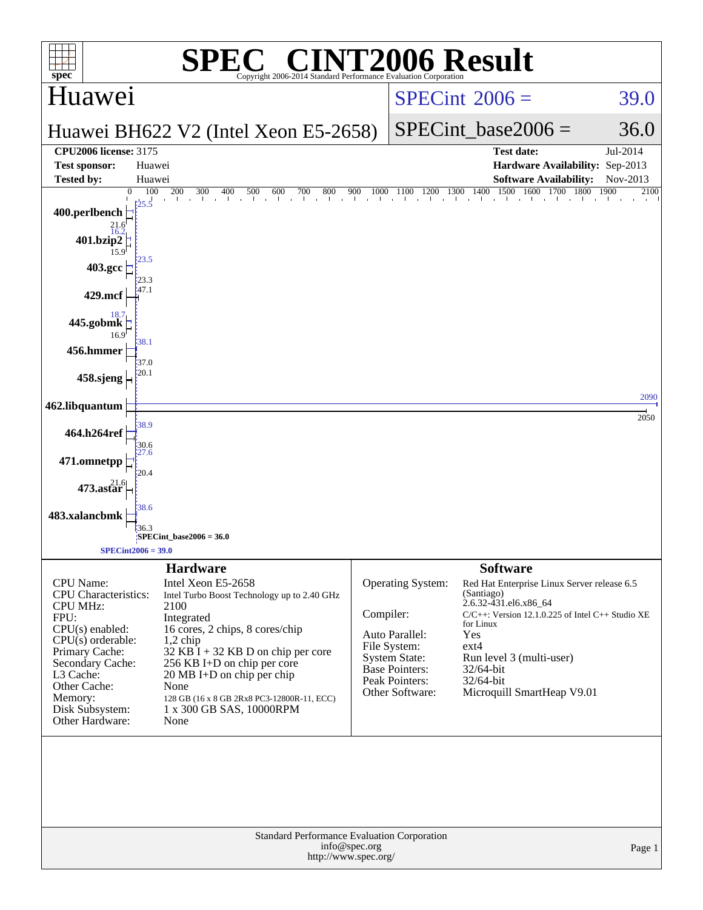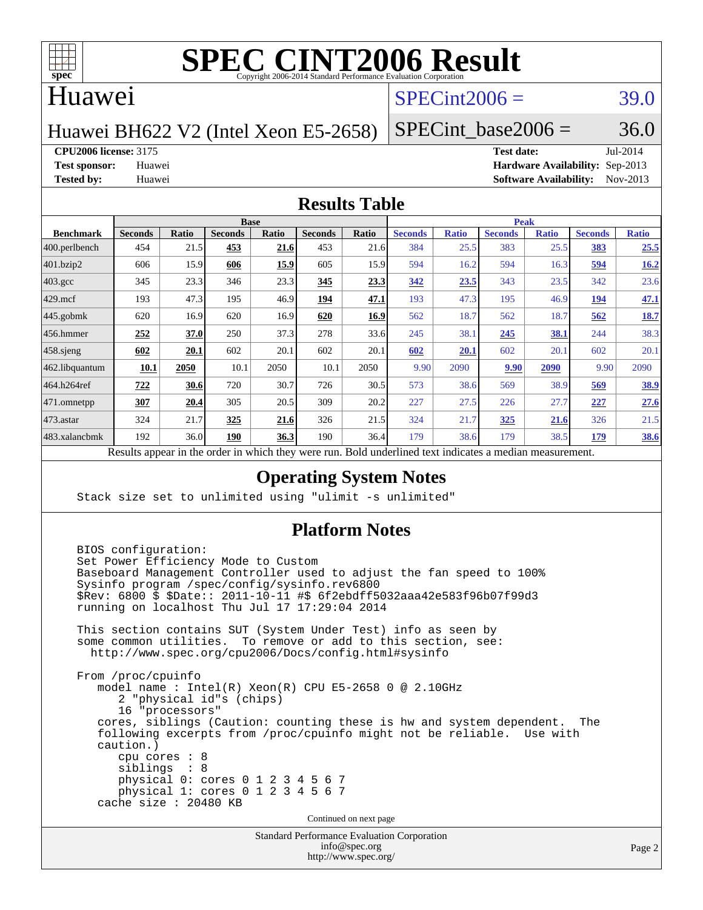

#### Huawei

## $SPECint2006 = 39.0$  $SPECint2006 = 39.0$

Huawei BH622 V2 (Intel Xeon E5-2658)

SPECint base2006 =  $36.0$ 

**[CPU2006 license:](http://www.spec.org/auto/cpu2006/Docs/result-fields.html#CPU2006license)** 3175 **[Test date:](http://www.spec.org/auto/cpu2006/Docs/result-fields.html#Testdate)** Jul-2014

**[Test sponsor:](http://www.spec.org/auto/cpu2006/Docs/result-fields.html#Testsponsor)** Huawei **[Hardware Availability:](http://www.spec.org/auto/cpu2006/Docs/result-fields.html#HardwareAvailability)** Sep-2013 **[Tested by:](http://www.spec.org/auto/cpu2006/Docs/result-fields.html#Testedby)** Huawei **[Software Availability:](http://www.spec.org/auto/cpu2006/Docs/result-fields.html#SoftwareAvailability)** Nov-2013

#### **[Results Table](http://www.spec.org/auto/cpu2006/Docs/result-fields.html#ResultsTable)**

|                   | <b>Base</b>                                                                                              |       |                |       |                |       | <b>Peak</b>    |              |                |              |                |              |
|-------------------|----------------------------------------------------------------------------------------------------------|-------|----------------|-------|----------------|-------|----------------|--------------|----------------|--------------|----------------|--------------|
| <b>Benchmark</b>  | <b>Seconds</b>                                                                                           | Ratio | <b>Seconds</b> | Ratio | <b>Seconds</b> | Ratio | <b>Seconds</b> | <b>Ratio</b> | <b>Seconds</b> | <b>Ratio</b> | <b>Seconds</b> | <b>Ratio</b> |
| $ 400$ .perlbench | 454                                                                                                      | 21.5  | 453            | 21.6  | 453            | 21.6  | 384            | 25.5         | 383            | 25.5         | <u>383</u>     | 25.5         |
| 401.bzip2         | 606                                                                                                      | 15.9  | 606            | 15.9  | 605            | 15.9  | 594            | 16.2         | 594            | 16.3         | 594            | 16.2         |
| $403.\text{gcc}$  | 345                                                                                                      | 23.3  | 346            | 23.3  | 345            | 23.3  | 342            | 23.5         | 343            | 23.5         | 342            | 23.6         |
| $429$ mcf         | 193                                                                                                      | 47.3  | 195            | 46.9  | 194            | 47.1  | 193            | 47.3         | 195            | 46.9         | 194            | 47.1         |
| $445$ .gobmk      | 620                                                                                                      | 16.9  | 620            | 16.9  | 620            | 16.9  | 562            | 18.7         | 562            | 18.7         | 562            | 18.7         |
| 456.hmmer         | 252                                                                                                      | 37.0  | 250            | 37.3  | 278            | 33.6  | 245            | 38.1         | 245            | 38.1         | 244            | 38.3         |
| $458$ .sjeng      | 602                                                                                                      | 20.1  | 602            | 20.1  | 602            | 20.1  | 602            | 20.1         | 602            | 20.1         | 602            | 20.1         |
| 462.libquantum    | 10.1                                                                                                     | 2050  | 10.1           | 2050  | 10.1           | 2050  | 9.90           | 2090         | 9.90           | 2090         | 9.90           | 2090         |
| 464.h264ref       | 722                                                                                                      | 30.6  | 720            | 30.7  | 726            | 30.5  | 573            | 38.6         | 569            | 38.9         | 569            | <u>38.9</u>  |
| 471.omnetpp       | 307                                                                                                      | 20.4  | 305            | 20.5  | 309            | 20.2  | 227            | 27.5         | 226            | 27.7         | 227            | 27.6         |
| $ 473$ . astar    | 324                                                                                                      | 21.7  | 325            | 21.6  | 326            | 21.5  | 324            | 21.7         | <u>325</u>     | 21.6         | 326            | 21.5         |
| 483.xalancbmk     | 192                                                                                                      | 36.0  | 190            | 36.3  | 190            | 36.4  | 179            | 38.6         | 179            | 38.5         | 179            | <b>38.6</b>  |
|                   | Decute conceal in the order in which they were my<br>Dold underlined text indicates a madian measurement |       |                |       |                |       |                |              |                |              |                |              |

Results appear in the [order in which they were run.](http://www.spec.org/auto/cpu2006/Docs/result-fields.html#RunOrder) Bold underlined text [indicates a median measurement.](http://www.spec.org/auto/cpu2006/Docs/result-fields.html#Median)

#### **[Operating System Notes](http://www.spec.org/auto/cpu2006/Docs/result-fields.html#OperatingSystemNotes)**

Stack size set to unlimited using "ulimit -s unlimited"

#### **[Platform Notes](http://www.spec.org/auto/cpu2006/Docs/result-fields.html#PlatformNotes)**

Standard Performance Evaluation Corporation BIOS configuration: Set Power Efficiency Mode to Custom Baseboard Management Controller used to adjust the fan speed to 100% Sysinfo program /spec/config/sysinfo.rev6800 \$Rev: 6800 \$ \$Date:: 2011-10-11 #\$ 6f2ebdff5032aaa42e583f96b07f99d3 running on localhost Thu Jul 17 17:29:04 2014 This section contains SUT (System Under Test) info as seen by some common utilities. To remove or add to this section, see: <http://www.spec.org/cpu2006/Docs/config.html#sysinfo> From /proc/cpuinfo model name : Intel(R) Xeon(R) CPU E5-2658 0 @ 2.10GHz 2 "physical id"s (chips) 16 "processors" cores, siblings (Caution: counting these is hw and system dependent. The following excerpts from /proc/cpuinfo might not be reliable. Use with caution.) cpu cores : 8 siblings : 8 physical 0: cores 0 1 2 3 4 5 6 7 physical 1: cores 0 1 2 3 4 5 6 7 cache size : 20480 KB Continued on next page

[info@spec.org](mailto:info@spec.org) <http://www.spec.org/>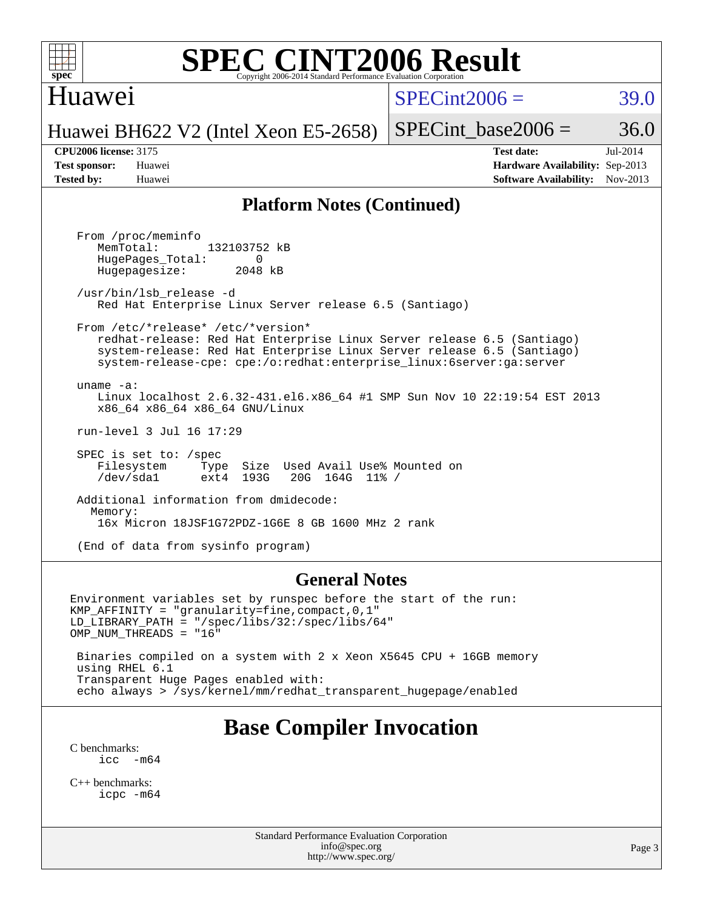

### Huawei

 $SPECint2006 = 39.0$  $SPECint2006 = 39.0$ 

Huawei BH622 V2 (Intel Xeon E5-2658)

SPECint base2006 =  $36.0$ 

**[CPU2006 license:](http://www.spec.org/auto/cpu2006/Docs/result-fields.html#CPU2006license)** 3175 **[Test date:](http://www.spec.org/auto/cpu2006/Docs/result-fields.html#Testdate)** Jul-2014 **[Test sponsor:](http://www.spec.org/auto/cpu2006/Docs/result-fields.html#Testsponsor)** Huawei **[Hardware Availability:](http://www.spec.org/auto/cpu2006/Docs/result-fields.html#HardwareAvailability)** Sep-2013 **[Tested by:](http://www.spec.org/auto/cpu2006/Docs/result-fields.html#Testedby)** Huawei **[Software Availability:](http://www.spec.org/auto/cpu2006/Docs/result-fields.html#SoftwareAvailability)** Nov-2013

#### **[Platform Notes \(Continued\)](http://www.spec.org/auto/cpu2006/Docs/result-fields.html#PlatformNotes)**

 From /proc/meminfo MemTotal: 132103752 kB HugePages\_Total: 0<br>Hugepagesize: 2048 kB Hugepagesize: /usr/bin/lsb\_release -d Red Hat Enterprise Linux Server release 6.5 (Santiago) From /etc/\*release\* /etc/\*version\* redhat-release: Red Hat Enterprise Linux Server release 6.5 (Santiago) system-release: Red Hat Enterprise Linux Server release 6.5 (Santiago) system-release-cpe: cpe:/o:redhat:enterprise\_linux:6server:ga:server uname -a: Linux localhost 2.6.32-431.el6.x86\_64 #1 SMP Sun Nov 10 22:19:54 EST 2013 x86\_64 x86\_64 x86\_64 GNU/Linux run-level 3 Jul 16 17:29 SPEC is set to: /spec Filesystem Type Size Used Avail Use% Mounted on<br>
/dev/sdal ext4 193G 20G 164G 11% / /dev/sda1 ext4 193G 20G 164G 11% / Additional information from dmidecode: Memory: 16x Micron 18JSF1G72PDZ-1G6E 8 GB 1600 MHz 2 rank (End of data from sysinfo program)

#### **[General Notes](http://www.spec.org/auto/cpu2006/Docs/result-fields.html#GeneralNotes)**

Environment variables set by runspec before the start of the run: KMP\_AFFINITY = "granularity=fine,compact,0,1" LD\_LIBRARY\_PATH = "/spec/libs/32:/spec/libs/64" OMP\_NUM\_THREADS = "16" Binaries compiled on a system with 2 x Xeon X5645 CPU + 16GB memory using RHEL 6.1

 Transparent Huge Pages enabled with: echo always > /sys/kernel/mm/redhat\_transparent\_hugepage/enabled

## **[Base Compiler Invocation](http://www.spec.org/auto/cpu2006/Docs/result-fields.html#BaseCompilerInvocation)**

[C benchmarks](http://www.spec.org/auto/cpu2006/Docs/result-fields.html#Cbenchmarks):  $\text{icc}$   $-\text{m64}$ 

[C++ benchmarks:](http://www.spec.org/auto/cpu2006/Docs/result-fields.html#CXXbenchmarks) [icpc -m64](http://www.spec.org/cpu2006/results/res2014q3/cpu2006-20140725-30557.flags.html#user_CXXbase_intel_icpc_64bit_fc66a5337ce925472a5c54ad6a0de310)

> Standard Performance Evaluation Corporation [info@spec.org](mailto:info@spec.org) <http://www.spec.org/>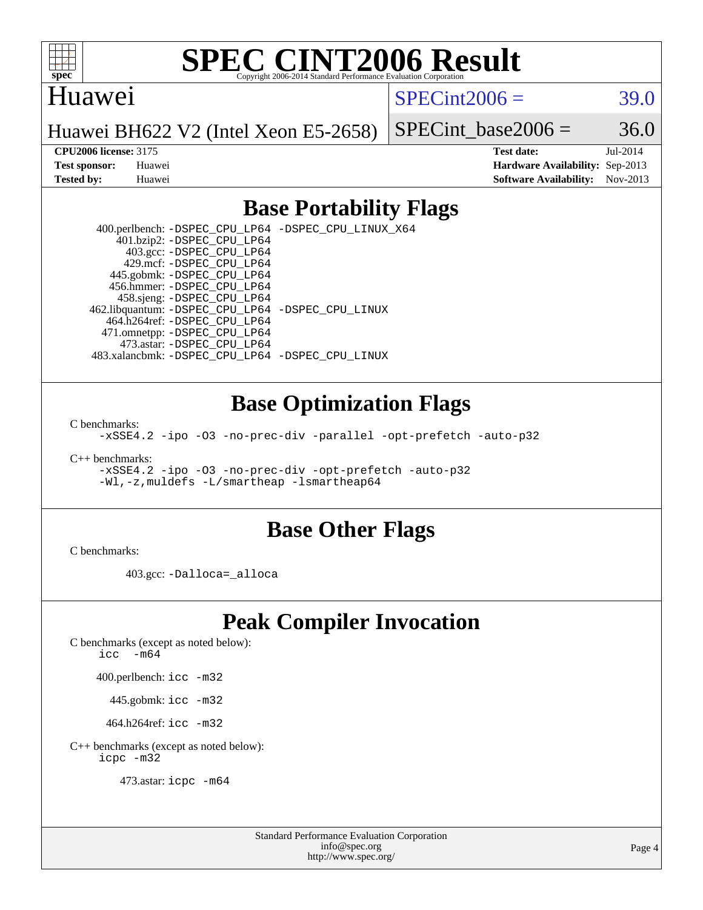

#### Huawei

 $SPECint2006 = 39.0$  $SPECint2006 = 39.0$ 

Huawei BH622 V2 (Intel Xeon E5-2658)

SPECint base2006 =  $36.0$ 

**[CPU2006 license:](http://www.spec.org/auto/cpu2006/Docs/result-fields.html#CPU2006license)** 3175 **[Test date:](http://www.spec.org/auto/cpu2006/Docs/result-fields.html#Testdate)** Jul-2014 **[Test sponsor:](http://www.spec.org/auto/cpu2006/Docs/result-fields.html#Testsponsor)** Huawei **[Hardware Availability:](http://www.spec.org/auto/cpu2006/Docs/result-fields.html#HardwareAvailability)** Sep-2013 **[Tested by:](http://www.spec.org/auto/cpu2006/Docs/result-fields.html#Testedby)** Huawei **[Software Availability:](http://www.spec.org/auto/cpu2006/Docs/result-fields.html#SoftwareAvailability)** Nov-2013

### **[Base Portability Flags](http://www.spec.org/auto/cpu2006/Docs/result-fields.html#BasePortabilityFlags)**

 400.perlbench: [-DSPEC\\_CPU\\_LP64](http://www.spec.org/cpu2006/results/res2014q3/cpu2006-20140725-30557.flags.html#b400.perlbench_basePORTABILITY_DSPEC_CPU_LP64) [-DSPEC\\_CPU\\_LINUX\\_X64](http://www.spec.org/cpu2006/results/res2014q3/cpu2006-20140725-30557.flags.html#b400.perlbench_baseCPORTABILITY_DSPEC_CPU_LINUX_X64) 401.bzip2: [-DSPEC\\_CPU\\_LP64](http://www.spec.org/cpu2006/results/res2014q3/cpu2006-20140725-30557.flags.html#suite_basePORTABILITY401_bzip2_DSPEC_CPU_LP64) 403.gcc: [-DSPEC\\_CPU\\_LP64](http://www.spec.org/cpu2006/results/res2014q3/cpu2006-20140725-30557.flags.html#suite_basePORTABILITY403_gcc_DSPEC_CPU_LP64) 429.mcf: [-DSPEC\\_CPU\\_LP64](http://www.spec.org/cpu2006/results/res2014q3/cpu2006-20140725-30557.flags.html#suite_basePORTABILITY429_mcf_DSPEC_CPU_LP64) 445.gobmk: [-DSPEC\\_CPU\\_LP64](http://www.spec.org/cpu2006/results/res2014q3/cpu2006-20140725-30557.flags.html#suite_basePORTABILITY445_gobmk_DSPEC_CPU_LP64) 456.hmmer: [-DSPEC\\_CPU\\_LP64](http://www.spec.org/cpu2006/results/res2014q3/cpu2006-20140725-30557.flags.html#suite_basePORTABILITY456_hmmer_DSPEC_CPU_LP64) 458.sjeng: [-DSPEC\\_CPU\\_LP64](http://www.spec.org/cpu2006/results/res2014q3/cpu2006-20140725-30557.flags.html#suite_basePORTABILITY458_sjeng_DSPEC_CPU_LP64) 462.libquantum: [-DSPEC\\_CPU\\_LP64](http://www.spec.org/cpu2006/results/res2014q3/cpu2006-20140725-30557.flags.html#suite_basePORTABILITY462_libquantum_DSPEC_CPU_LP64) [-DSPEC\\_CPU\\_LINUX](http://www.spec.org/cpu2006/results/res2014q3/cpu2006-20140725-30557.flags.html#b462.libquantum_baseCPORTABILITY_DSPEC_CPU_LINUX) 464.h264ref: [-DSPEC\\_CPU\\_LP64](http://www.spec.org/cpu2006/results/res2014q3/cpu2006-20140725-30557.flags.html#suite_basePORTABILITY464_h264ref_DSPEC_CPU_LP64) 471.omnetpp: [-DSPEC\\_CPU\\_LP64](http://www.spec.org/cpu2006/results/res2014q3/cpu2006-20140725-30557.flags.html#suite_basePORTABILITY471_omnetpp_DSPEC_CPU_LP64) 473.astar: [-DSPEC\\_CPU\\_LP64](http://www.spec.org/cpu2006/results/res2014q3/cpu2006-20140725-30557.flags.html#suite_basePORTABILITY473_astar_DSPEC_CPU_LP64) 483.xalancbmk: [-DSPEC\\_CPU\\_LP64](http://www.spec.org/cpu2006/results/res2014q3/cpu2006-20140725-30557.flags.html#suite_basePORTABILITY483_xalancbmk_DSPEC_CPU_LP64) [-DSPEC\\_CPU\\_LINUX](http://www.spec.org/cpu2006/results/res2014q3/cpu2006-20140725-30557.flags.html#b483.xalancbmk_baseCXXPORTABILITY_DSPEC_CPU_LINUX)

#### **[Base Optimization Flags](http://www.spec.org/auto/cpu2006/Docs/result-fields.html#BaseOptimizationFlags)**

[C benchmarks](http://www.spec.org/auto/cpu2006/Docs/result-fields.html#Cbenchmarks):

[-xSSE4.2](http://www.spec.org/cpu2006/results/res2014q3/cpu2006-20140725-30557.flags.html#user_CCbase_f-xSSE42_f91528193cf0b216347adb8b939d4107) [-ipo](http://www.spec.org/cpu2006/results/res2014q3/cpu2006-20140725-30557.flags.html#user_CCbase_f-ipo) [-O3](http://www.spec.org/cpu2006/results/res2014q3/cpu2006-20140725-30557.flags.html#user_CCbase_f-O3) [-no-prec-div](http://www.spec.org/cpu2006/results/res2014q3/cpu2006-20140725-30557.flags.html#user_CCbase_f-no-prec-div) [-parallel](http://www.spec.org/cpu2006/results/res2014q3/cpu2006-20140725-30557.flags.html#user_CCbase_f-parallel) [-opt-prefetch](http://www.spec.org/cpu2006/results/res2014q3/cpu2006-20140725-30557.flags.html#user_CCbase_f-opt-prefetch) [-auto-p32](http://www.spec.org/cpu2006/results/res2014q3/cpu2006-20140725-30557.flags.html#user_CCbase_f-auto-p32)

[C++ benchmarks:](http://www.spec.org/auto/cpu2006/Docs/result-fields.html#CXXbenchmarks)

[-xSSE4.2](http://www.spec.org/cpu2006/results/res2014q3/cpu2006-20140725-30557.flags.html#user_CXXbase_f-xSSE42_f91528193cf0b216347adb8b939d4107) [-ipo](http://www.spec.org/cpu2006/results/res2014q3/cpu2006-20140725-30557.flags.html#user_CXXbase_f-ipo) [-O3](http://www.spec.org/cpu2006/results/res2014q3/cpu2006-20140725-30557.flags.html#user_CXXbase_f-O3) [-no-prec-div](http://www.spec.org/cpu2006/results/res2014q3/cpu2006-20140725-30557.flags.html#user_CXXbase_f-no-prec-div) [-opt-prefetch](http://www.spec.org/cpu2006/results/res2014q3/cpu2006-20140725-30557.flags.html#user_CXXbase_f-opt-prefetch) [-auto-p32](http://www.spec.org/cpu2006/results/res2014q3/cpu2006-20140725-30557.flags.html#user_CXXbase_f-auto-p32) [-Wl,-z,muldefs](http://www.spec.org/cpu2006/results/res2014q3/cpu2006-20140725-30557.flags.html#user_CXXbase_link_force_multiple1_74079c344b956b9658436fd1b6dd3a8a) [-L/smartheap -lsmartheap64](http://www.spec.org/cpu2006/results/res2014q3/cpu2006-20140725-30557.flags.html#user_CXXbase_SmartHeap64_5e654037dadeae1fe403ab4b4466e60b)

#### **[Base Other Flags](http://www.spec.org/auto/cpu2006/Docs/result-fields.html#BaseOtherFlags)**

[C benchmarks](http://www.spec.org/auto/cpu2006/Docs/result-fields.html#Cbenchmarks):

403.gcc: [-Dalloca=\\_alloca](http://www.spec.org/cpu2006/results/res2014q3/cpu2006-20140725-30557.flags.html#b403.gcc_baseEXTRA_CFLAGS_Dalloca_be3056838c12de2578596ca5467af7f3)

## **[Peak Compiler Invocation](http://www.spec.org/auto/cpu2006/Docs/result-fields.html#PeakCompilerInvocation)**

[C benchmarks \(except as noted below\)](http://www.spec.org/auto/cpu2006/Docs/result-fields.html#Cbenchmarksexceptasnotedbelow):

[icc -m64](http://www.spec.org/cpu2006/results/res2014q3/cpu2006-20140725-30557.flags.html#user_CCpeak_intel_icc_64bit_f346026e86af2a669e726fe758c88044)

400.perlbench: [icc -m32](http://www.spec.org/cpu2006/results/res2014q3/cpu2006-20140725-30557.flags.html#user_peakCCLD400_perlbench_intel_icc_a6a621f8d50482236b970c6ac5f55f93)

445.gobmk: [icc -m32](http://www.spec.org/cpu2006/results/res2014q3/cpu2006-20140725-30557.flags.html#user_peakCCLD445_gobmk_intel_icc_a6a621f8d50482236b970c6ac5f55f93)

464.h264ref: [icc -m32](http://www.spec.org/cpu2006/results/res2014q3/cpu2006-20140725-30557.flags.html#user_peakCCLD464_h264ref_intel_icc_a6a621f8d50482236b970c6ac5f55f93)

[C++ benchmarks \(except as noted below\):](http://www.spec.org/auto/cpu2006/Docs/result-fields.html#CXXbenchmarksexceptasnotedbelow) [icpc -m32](http://www.spec.org/cpu2006/results/res2014q3/cpu2006-20140725-30557.flags.html#user_CXXpeak_intel_icpc_4e5a5ef1a53fd332b3c49e69c3330699)

473.astar: [icpc -m64](http://www.spec.org/cpu2006/results/res2014q3/cpu2006-20140725-30557.flags.html#user_peakCXXLD473_astar_intel_icpc_64bit_fc66a5337ce925472a5c54ad6a0de310)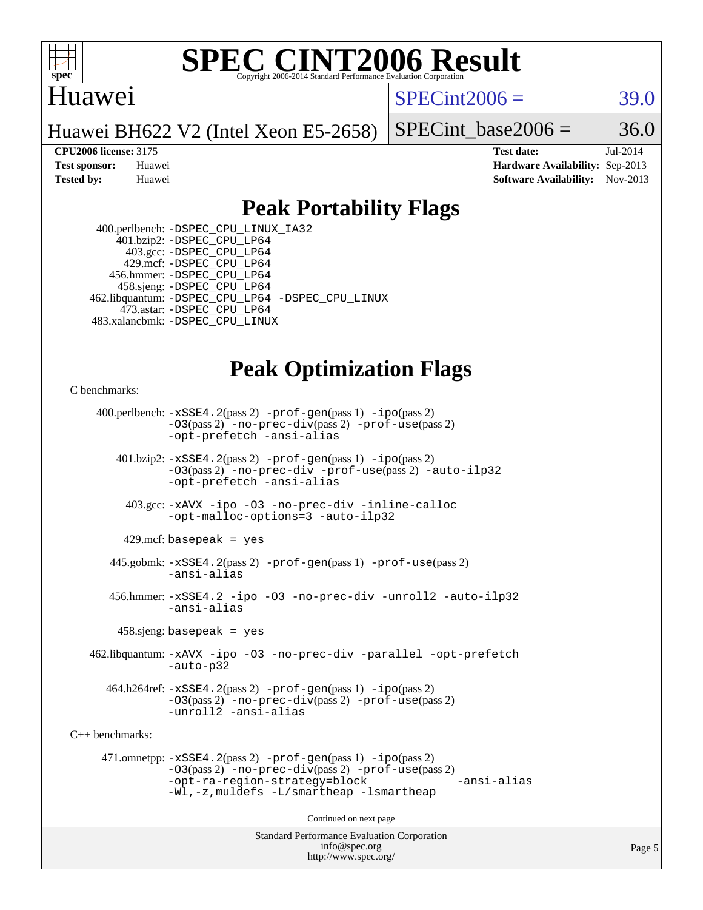

## Huawei

 $SPECint2006 = 39.0$  $SPECint2006 = 39.0$ 

Huawei BH622 V2 (Intel Xeon E5-2658)

SPECint base2006 =  $36.0$ 

**[CPU2006 license:](http://www.spec.org/auto/cpu2006/Docs/result-fields.html#CPU2006license)** 3175 **[Test date:](http://www.spec.org/auto/cpu2006/Docs/result-fields.html#Testdate)** Jul-2014 **[Test sponsor:](http://www.spec.org/auto/cpu2006/Docs/result-fields.html#Testsponsor)** Huawei **[Hardware Availability:](http://www.spec.org/auto/cpu2006/Docs/result-fields.html#HardwareAvailability)** Sep-2013 **[Tested by:](http://www.spec.org/auto/cpu2006/Docs/result-fields.html#Testedby)** Huawei **[Software Availability:](http://www.spec.org/auto/cpu2006/Docs/result-fields.html#SoftwareAvailability)** Nov-2013

## **[Peak Portability Flags](http://www.spec.org/auto/cpu2006/Docs/result-fields.html#PeakPortabilityFlags)**

 400.perlbench: [-DSPEC\\_CPU\\_LINUX\\_IA32](http://www.spec.org/cpu2006/results/res2014q3/cpu2006-20140725-30557.flags.html#b400.perlbench_peakCPORTABILITY_DSPEC_CPU_LINUX_IA32) 401.bzip2: [-DSPEC\\_CPU\\_LP64](http://www.spec.org/cpu2006/results/res2014q3/cpu2006-20140725-30557.flags.html#suite_peakPORTABILITY401_bzip2_DSPEC_CPU_LP64) 403.gcc: [-DSPEC\\_CPU\\_LP64](http://www.spec.org/cpu2006/results/res2014q3/cpu2006-20140725-30557.flags.html#suite_peakPORTABILITY403_gcc_DSPEC_CPU_LP64) 429.mcf: [-DSPEC\\_CPU\\_LP64](http://www.spec.org/cpu2006/results/res2014q3/cpu2006-20140725-30557.flags.html#suite_peakPORTABILITY429_mcf_DSPEC_CPU_LP64) 456.hmmer: [-DSPEC\\_CPU\\_LP64](http://www.spec.org/cpu2006/results/res2014q3/cpu2006-20140725-30557.flags.html#suite_peakPORTABILITY456_hmmer_DSPEC_CPU_LP64) 458.sjeng: [-DSPEC\\_CPU\\_LP64](http://www.spec.org/cpu2006/results/res2014q3/cpu2006-20140725-30557.flags.html#suite_peakPORTABILITY458_sjeng_DSPEC_CPU_LP64) 462.libquantum: [-DSPEC\\_CPU\\_LP64](http://www.spec.org/cpu2006/results/res2014q3/cpu2006-20140725-30557.flags.html#suite_peakPORTABILITY462_libquantum_DSPEC_CPU_LP64) [-DSPEC\\_CPU\\_LINUX](http://www.spec.org/cpu2006/results/res2014q3/cpu2006-20140725-30557.flags.html#b462.libquantum_peakCPORTABILITY_DSPEC_CPU_LINUX) 473.astar: [-DSPEC\\_CPU\\_LP64](http://www.spec.org/cpu2006/results/res2014q3/cpu2006-20140725-30557.flags.html#suite_peakPORTABILITY473_astar_DSPEC_CPU_LP64) 483.xalancbmk: [-DSPEC\\_CPU\\_LINUX](http://www.spec.org/cpu2006/results/res2014q3/cpu2006-20140725-30557.flags.html#b483.xalancbmk_peakCXXPORTABILITY_DSPEC_CPU_LINUX)

## **[Peak Optimization Flags](http://www.spec.org/auto/cpu2006/Docs/result-fields.html#PeakOptimizationFlags)**

[C benchmarks](http://www.spec.org/auto/cpu2006/Docs/result-fields.html#Cbenchmarks):

 400.perlbench: [-xSSE4.2](http://www.spec.org/cpu2006/results/res2014q3/cpu2006-20140725-30557.flags.html#user_peakPASS2_CFLAGSPASS2_LDCFLAGS400_perlbench_f-xSSE42_f91528193cf0b216347adb8b939d4107)(pass 2) [-prof-gen](http://www.spec.org/cpu2006/results/res2014q3/cpu2006-20140725-30557.flags.html#user_peakPASS1_CFLAGSPASS1_LDCFLAGS400_perlbench_prof_gen_e43856698f6ca7b7e442dfd80e94a8fc)(pass 1) [-ipo](http://www.spec.org/cpu2006/results/res2014q3/cpu2006-20140725-30557.flags.html#user_peakPASS2_CFLAGSPASS2_LDCFLAGS400_perlbench_f-ipo)(pass 2) [-O3](http://www.spec.org/cpu2006/results/res2014q3/cpu2006-20140725-30557.flags.html#user_peakPASS2_CFLAGSPASS2_LDCFLAGS400_perlbench_f-O3)(pass 2) [-no-prec-div](http://www.spec.org/cpu2006/results/res2014q3/cpu2006-20140725-30557.flags.html#user_peakPASS2_CFLAGSPASS2_LDCFLAGS400_perlbench_f-no-prec-div)(pass 2) [-prof-use](http://www.spec.org/cpu2006/results/res2014q3/cpu2006-20140725-30557.flags.html#user_peakPASS2_CFLAGSPASS2_LDCFLAGS400_perlbench_prof_use_bccf7792157ff70d64e32fe3e1250b55)(pass 2) [-opt-prefetch](http://www.spec.org/cpu2006/results/res2014q3/cpu2006-20140725-30557.flags.html#user_peakCOPTIMIZE400_perlbench_f-opt-prefetch) [-ansi-alias](http://www.spec.org/cpu2006/results/res2014q3/cpu2006-20140725-30557.flags.html#user_peakCOPTIMIZE400_perlbench_f-ansi-alias) 401.bzip2: [-xSSE4.2](http://www.spec.org/cpu2006/results/res2014q3/cpu2006-20140725-30557.flags.html#user_peakPASS2_CFLAGSPASS2_LDCFLAGS401_bzip2_f-xSSE42_f91528193cf0b216347adb8b939d4107)(pass 2) [-prof-gen](http://www.spec.org/cpu2006/results/res2014q3/cpu2006-20140725-30557.flags.html#user_peakPASS1_CFLAGSPASS1_LDCFLAGS401_bzip2_prof_gen_e43856698f6ca7b7e442dfd80e94a8fc)(pass 1) [-ipo](http://www.spec.org/cpu2006/results/res2014q3/cpu2006-20140725-30557.flags.html#user_peakPASS2_CFLAGSPASS2_LDCFLAGS401_bzip2_f-ipo)(pass 2) [-O3](http://www.spec.org/cpu2006/results/res2014q3/cpu2006-20140725-30557.flags.html#user_peakPASS2_CFLAGSPASS2_LDCFLAGS401_bzip2_f-O3)(pass 2) [-no-prec-div](http://www.spec.org/cpu2006/results/res2014q3/cpu2006-20140725-30557.flags.html#user_peakCOPTIMIZEPASS2_CFLAGSPASS2_LDCFLAGS401_bzip2_f-no-prec-div) [-prof-use](http://www.spec.org/cpu2006/results/res2014q3/cpu2006-20140725-30557.flags.html#user_peakPASS2_CFLAGSPASS2_LDCFLAGS401_bzip2_prof_use_bccf7792157ff70d64e32fe3e1250b55)(pass 2) [-auto-ilp32](http://www.spec.org/cpu2006/results/res2014q3/cpu2006-20140725-30557.flags.html#user_peakCOPTIMIZE401_bzip2_f-auto-ilp32) [-opt-prefetch](http://www.spec.org/cpu2006/results/res2014q3/cpu2006-20140725-30557.flags.html#user_peakCOPTIMIZE401_bzip2_f-opt-prefetch) [-ansi-alias](http://www.spec.org/cpu2006/results/res2014q3/cpu2006-20140725-30557.flags.html#user_peakCOPTIMIZE401_bzip2_f-ansi-alias) 403.gcc: [-xAVX](http://www.spec.org/cpu2006/results/res2014q3/cpu2006-20140725-30557.flags.html#user_peakCOPTIMIZE403_gcc_f-xAVX) [-ipo](http://www.spec.org/cpu2006/results/res2014q3/cpu2006-20140725-30557.flags.html#user_peakCOPTIMIZE403_gcc_f-ipo) [-O3](http://www.spec.org/cpu2006/results/res2014q3/cpu2006-20140725-30557.flags.html#user_peakCOPTIMIZE403_gcc_f-O3) [-no-prec-div](http://www.spec.org/cpu2006/results/res2014q3/cpu2006-20140725-30557.flags.html#user_peakCOPTIMIZE403_gcc_f-no-prec-div) [-inline-calloc](http://www.spec.org/cpu2006/results/res2014q3/cpu2006-20140725-30557.flags.html#user_peakCOPTIMIZE403_gcc_f-inline-calloc) [-opt-malloc-options=3](http://www.spec.org/cpu2006/results/res2014q3/cpu2006-20140725-30557.flags.html#user_peakCOPTIMIZE403_gcc_f-opt-malloc-options_13ab9b803cf986b4ee62f0a5998c2238) [-auto-ilp32](http://www.spec.org/cpu2006/results/res2014q3/cpu2006-20140725-30557.flags.html#user_peakCOPTIMIZE403_gcc_f-auto-ilp32)  $429$ .mcf: basepeak = yes 445.gobmk: [-xSSE4.2](http://www.spec.org/cpu2006/results/res2014q3/cpu2006-20140725-30557.flags.html#user_peakPASS2_CFLAGSPASS2_LDCFLAGS445_gobmk_f-xSSE42_f91528193cf0b216347adb8b939d4107)(pass 2) [-prof-gen](http://www.spec.org/cpu2006/results/res2014q3/cpu2006-20140725-30557.flags.html#user_peakPASS1_CFLAGSPASS1_LDCFLAGS445_gobmk_prof_gen_e43856698f6ca7b7e442dfd80e94a8fc)(pass 1) [-prof-use](http://www.spec.org/cpu2006/results/res2014q3/cpu2006-20140725-30557.flags.html#user_peakPASS2_CFLAGSPASS2_LDCFLAGS445_gobmk_prof_use_bccf7792157ff70d64e32fe3e1250b55)(pass 2) [-ansi-alias](http://www.spec.org/cpu2006/results/res2014q3/cpu2006-20140725-30557.flags.html#user_peakCOPTIMIZE445_gobmk_f-ansi-alias) 456.hmmer: [-xSSE4.2](http://www.spec.org/cpu2006/results/res2014q3/cpu2006-20140725-30557.flags.html#user_peakCOPTIMIZE456_hmmer_f-xSSE42_f91528193cf0b216347adb8b939d4107) [-ipo](http://www.spec.org/cpu2006/results/res2014q3/cpu2006-20140725-30557.flags.html#user_peakCOPTIMIZE456_hmmer_f-ipo) [-O3](http://www.spec.org/cpu2006/results/res2014q3/cpu2006-20140725-30557.flags.html#user_peakCOPTIMIZE456_hmmer_f-O3) [-no-prec-div](http://www.spec.org/cpu2006/results/res2014q3/cpu2006-20140725-30557.flags.html#user_peakCOPTIMIZE456_hmmer_f-no-prec-div) [-unroll2](http://www.spec.org/cpu2006/results/res2014q3/cpu2006-20140725-30557.flags.html#user_peakCOPTIMIZE456_hmmer_f-unroll_784dae83bebfb236979b41d2422d7ec2) [-auto-ilp32](http://www.spec.org/cpu2006/results/res2014q3/cpu2006-20140725-30557.flags.html#user_peakCOPTIMIZE456_hmmer_f-auto-ilp32) [-ansi-alias](http://www.spec.org/cpu2006/results/res2014q3/cpu2006-20140725-30557.flags.html#user_peakCOPTIMIZE456_hmmer_f-ansi-alias) 458.sjeng: basepeak = yes 462.libquantum: [-xAVX](http://www.spec.org/cpu2006/results/res2014q3/cpu2006-20140725-30557.flags.html#user_peakCOPTIMIZE462_libquantum_f-xAVX) [-ipo](http://www.spec.org/cpu2006/results/res2014q3/cpu2006-20140725-30557.flags.html#user_peakCOPTIMIZE462_libquantum_f-ipo) [-O3](http://www.spec.org/cpu2006/results/res2014q3/cpu2006-20140725-30557.flags.html#user_peakCOPTIMIZE462_libquantum_f-O3) [-no-prec-div](http://www.spec.org/cpu2006/results/res2014q3/cpu2006-20140725-30557.flags.html#user_peakCOPTIMIZE462_libquantum_f-no-prec-div) [-parallel](http://www.spec.org/cpu2006/results/res2014q3/cpu2006-20140725-30557.flags.html#user_peakCOPTIMIZE462_libquantum_f-parallel) [-opt-prefetch](http://www.spec.org/cpu2006/results/res2014q3/cpu2006-20140725-30557.flags.html#user_peakCOPTIMIZE462_libquantum_f-opt-prefetch) [-auto-p32](http://www.spec.org/cpu2006/results/res2014q3/cpu2006-20140725-30557.flags.html#user_peakCOPTIMIZE462_libquantum_f-auto-p32) 464.h264ref: [-xSSE4.2](http://www.spec.org/cpu2006/results/res2014q3/cpu2006-20140725-30557.flags.html#user_peakPASS2_CFLAGSPASS2_LDCFLAGS464_h264ref_f-xSSE42_f91528193cf0b216347adb8b939d4107)(pass 2) [-prof-gen](http://www.spec.org/cpu2006/results/res2014q3/cpu2006-20140725-30557.flags.html#user_peakPASS1_CFLAGSPASS1_LDCFLAGS464_h264ref_prof_gen_e43856698f6ca7b7e442dfd80e94a8fc)(pass 1) [-ipo](http://www.spec.org/cpu2006/results/res2014q3/cpu2006-20140725-30557.flags.html#user_peakPASS2_CFLAGSPASS2_LDCFLAGS464_h264ref_f-ipo)(pass 2) [-O3](http://www.spec.org/cpu2006/results/res2014q3/cpu2006-20140725-30557.flags.html#user_peakPASS2_CFLAGSPASS2_LDCFLAGS464_h264ref_f-O3)(pass 2) [-no-prec-div](http://www.spec.org/cpu2006/results/res2014q3/cpu2006-20140725-30557.flags.html#user_peakPASS2_CFLAGSPASS2_LDCFLAGS464_h264ref_f-no-prec-div)(pass 2) [-prof-use](http://www.spec.org/cpu2006/results/res2014q3/cpu2006-20140725-30557.flags.html#user_peakPASS2_CFLAGSPASS2_LDCFLAGS464_h264ref_prof_use_bccf7792157ff70d64e32fe3e1250b55)(pass 2) [-unroll2](http://www.spec.org/cpu2006/results/res2014q3/cpu2006-20140725-30557.flags.html#user_peakCOPTIMIZE464_h264ref_f-unroll_784dae83bebfb236979b41d2422d7ec2) [-ansi-alias](http://www.spec.org/cpu2006/results/res2014q3/cpu2006-20140725-30557.flags.html#user_peakCOPTIMIZE464_h264ref_f-ansi-alias) [C++ benchmarks:](http://www.spec.org/auto/cpu2006/Docs/result-fields.html#CXXbenchmarks) 471.omnetpp: [-xSSE4.2](http://www.spec.org/cpu2006/results/res2014q3/cpu2006-20140725-30557.flags.html#user_peakPASS2_CXXFLAGSPASS2_LDCXXFLAGS471_omnetpp_f-xSSE42_f91528193cf0b216347adb8b939d4107)(pass 2) [-prof-gen](http://www.spec.org/cpu2006/results/res2014q3/cpu2006-20140725-30557.flags.html#user_peakPASS1_CXXFLAGSPASS1_LDCXXFLAGS471_omnetpp_prof_gen_e43856698f6ca7b7e442dfd80e94a8fc)(pass 1) [-ipo](http://www.spec.org/cpu2006/results/res2014q3/cpu2006-20140725-30557.flags.html#user_peakPASS2_CXXFLAGSPASS2_LDCXXFLAGS471_omnetpp_f-ipo)(pass 2) [-O3](http://www.spec.org/cpu2006/results/res2014q3/cpu2006-20140725-30557.flags.html#user_peakPASS2_CXXFLAGSPASS2_LDCXXFLAGS471_omnetpp_f-O3)(pass 2) [-no-prec-div](http://www.spec.org/cpu2006/results/res2014q3/cpu2006-20140725-30557.flags.html#user_peakPASS2_CXXFLAGSPASS2_LDCXXFLAGS471_omnetpp_f-no-prec-div)(pass 2) [-prof-use](http://www.spec.org/cpu2006/results/res2014q3/cpu2006-20140725-30557.flags.html#user_peakPASS2_CXXFLAGSPASS2_LDCXXFLAGS471_omnetpp_prof_use_bccf7792157ff70d64e32fe3e1250b55)(pass 2) [-opt-ra-region-strategy=block](http://www.spec.org/cpu2006/results/res2014q3/cpu2006-20140725-30557.flags.html#user_peakCXXOPTIMIZE471_omnetpp_f-opt-ra-region-strategy_5382940c29ea30302d682fc74bfe0147) [-ansi-alias](http://www.spec.org/cpu2006/results/res2014q3/cpu2006-20140725-30557.flags.html#user_peakCXXOPTIMIZE471_omnetpp_f-ansi-alias) [-Wl,-z,muldefs](http://www.spec.org/cpu2006/results/res2014q3/cpu2006-20140725-30557.flags.html#user_peakEXTRA_LDFLAGS471_omnetpp_link_force_multiple1_74079c344b956b9658436fd1b6dd3a8a) [-L/smartheap -lsmartheap](http://www.spec.org/cpu2006/results/res2014q3/cpu2006-20140725-30557.flags.html#user_peakEXTRA_LIBS471_omnetpp_SmartHeap_7c9e394a5779e1a7fec7c221e123830c) Continued on next page

> Standard Performance Evaluation Corporation [info@spec.org](mailto:info@spec.org) <http://www.spec.org/>